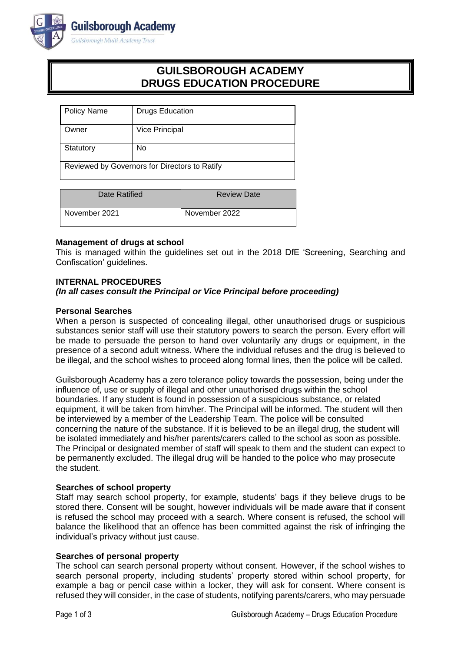

# **GUILSBOROUGH ACADEMY DRUGS EDUCATION PROCEDURE**

| <b>Policy Name</b>                            | <b>Drugs Education</b> |  |
|-----------------------------------------------|------------------------|--|
| Owner                                         | <b>Vice Principal</b>  |  |
| Statutory                                     | No                     |  |
| Reviewed by Governors for Directors to Ratify |                        |  |

| Date Ratified   | <b>Review Date</b> |
|-----------------|--------------------|
| l November 2021 | November 2022      |

# **Management of drugs at school**

This is managed within the guidelines set out in the 2018 DfE 'Screening, Searching and Confiscation' guidelines.

# **INTERNAL PROCEDURES**

*(In all cases consult the Principal or Vice Principal before proceeding)*

# **Personal Searches**

When a person is suspected of concealing illegal, other unauthorised drugs or suspicious substances senior staff will use their statutory powers to search the person. Every effort will be made to persuade the person to hand over voluntarily any drugs or equipment, in the presence of a second adult witness. Where the individual refuses and the drug is believed to be illegal, and the school wishes to proceed along formal lines, then the police will be called.

Guilsborough Academy has a zero tolerance policy towards the possession, being under the influence of, use or supply of illegal and other unauthorised drugs within the school boundaries. If any student is found in possession of a suspicious substance, or related equipment, it will be taken from him/her. The Principal will be informed. The student will then be interviewed by a member of the Leadership Team. The police will be consulted concerning the nature of the substance. If it is believed to be an illegal drug, the student will be isolated immediately and his/her parents/carers called to the school as soon as possible. The Principal or designated member of staff will speak to them and the student can expect to be permanently excluded. The illegal drug will be handed to the police who may prosecute the student.

# **Searches of school property**

Staff may search school property, for example, students' bags if they believe drugs to be stored there. Consent will be sought, however individuals will be made aware that if consent is refused the school may proceed with a search. Where consent is refused, the school will balance the likelihood that an offence has been committed against the risk of infringing the individual's privacy without just cause.

# **Searches of personal property**

The school can search personal property without consent. However, if the school wishes to search personal property, including students' property stored within school property, for example a bag or pencil case within a locker, they will ask for consent. Where consent is refused they will consider, in the case of students, notifying parents/carers, who may persuade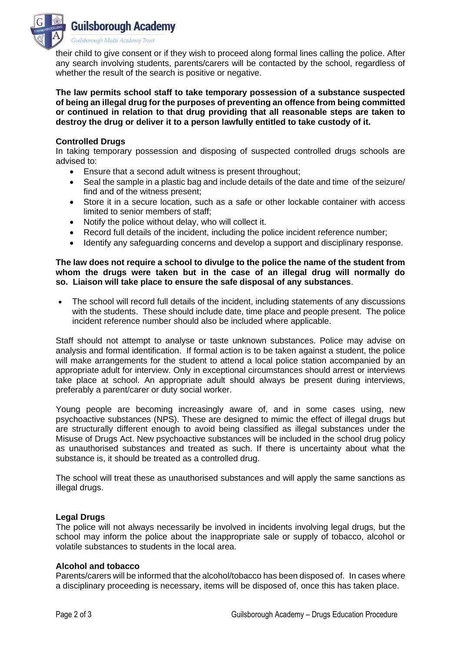

their child to give consent or if they wish to proceed along formal lines calling the police. After any search involving students, parents/carers will be contacted by the school, regardless of whether the result of the search is positive or negative.

**The law permits school staff to take temporary possession of a substance suspected of being an illegal drug for the purposes of preventing an offence from being committed or continued in relation to that drug providing that all reasonable steps are taken to destroy the drug or deliver it to a person lawfully entitled to take custody of it.**

## **Controlled Drugs**

In taking temporary possession and disposing of suspected controlled drugs schools are advised to:

- Ensure that a second adult witness is present throughout;
- Seal the sample in a plastic bag and include details of the date and time of the seizure/ find and of the witness present;
- Store it in a secure location, such as a safe or other lockable container with access limited to senior members of staff;
- Notify the police without delay, who will collect it.
- Record full details of the incident, including the police incident reference number;
- Identify any safeguarding concerns and develop a support and disciplinary response.

## **The law does not require a school to divulge to the police the name of the student from whom the drugs were taken but in the case of an illegal drug will normally do so. Liaison will take place to ensure the safe disposal of any substances**.

• The school will record full details of the incident, including statements of any discussions with the students. These should include date, time place and people present. The police incident reference number should also be included where applicable.

Staff should not attempt to analyse or taste unknown substances. Police may advise on analysis and formal identification. If formal action is to be taken against a student, the police will make arrangements for the student to attend a local police station accompanied by an appropriate adult for interview. Only in exceptional circumstances should arrest or interviews take place at school. An appropriate adult should always be present during interviews, preferably a parent/carer or duty social worker.

Young people are becoming increasingly aware of, and in some cases using, new psychoactive substances (NPS). These are designed to mimic the effect of illegal drugs but are structurally different enough to avoid being classified as illegal substances under the Misuse of Drugs Act. New psychoactive substances will be included in the school drug policy as unauthorised substances and treated as such. If there is uncertainty about what the substance is, it should be treated as a controlled drug.

The school will treat these as unauthorised substances and will apply the same sanctions as illegal drugs.

# **Legal Drugs**

The police will not always necessarily be involved in incidents involving legal drugs, but the school may inform the police about the inappropriate sale or supply of tobacco, alcohol or volatile substances to students in the local area.

#### **Alcohol and tobacco**

Parents/carers will be informed that the alcohol/tobacco has been disposed of. In cases where a disciplinary proceeding is necessary, items will be disposed of, once this has taken place.